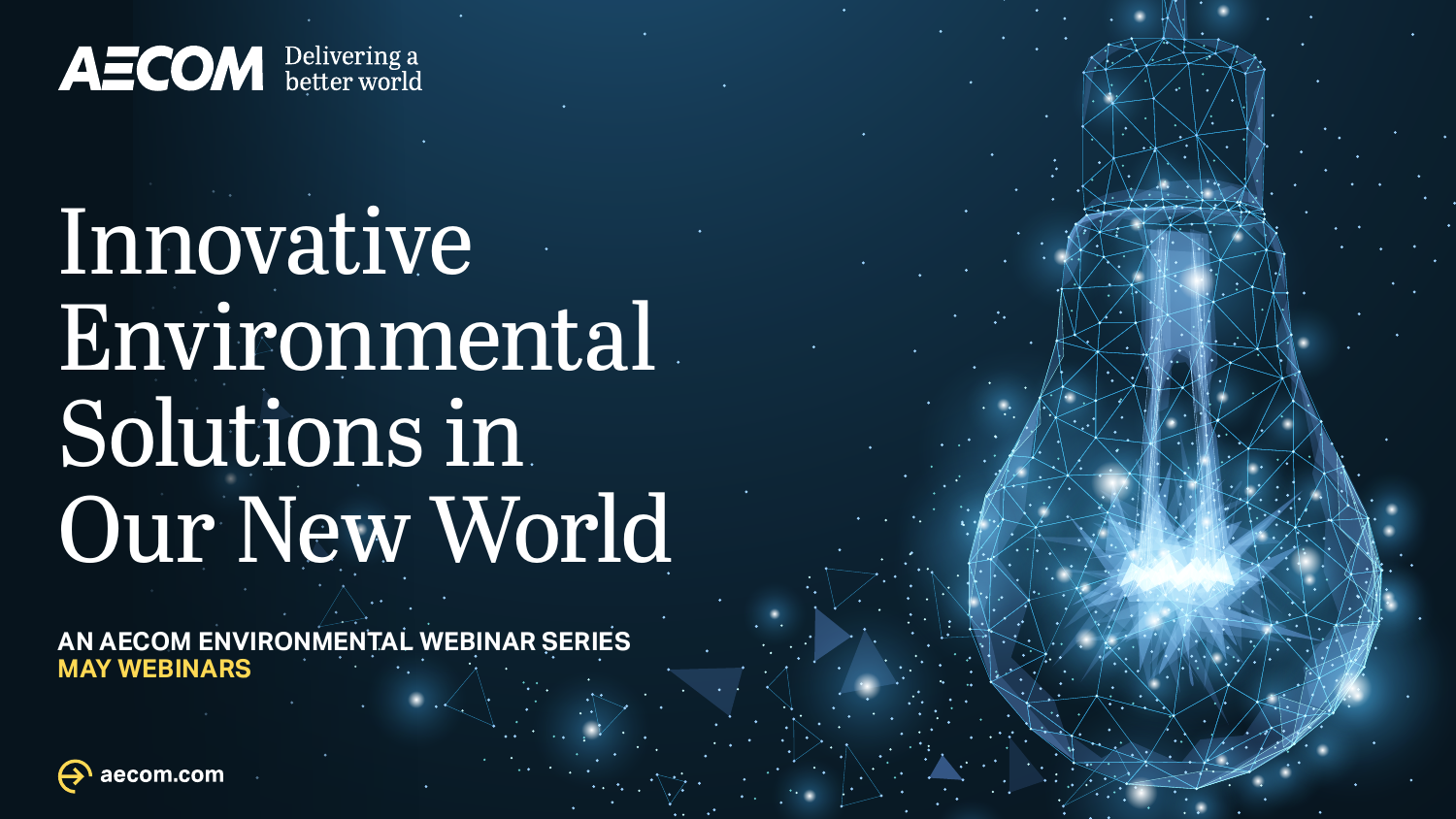**AECOM** Delivering a

# Innovative Environmental Solutions in Our New World

**AN AECOM ENVIRONMENTAL WEBINAR SERIES MAY WEBINARS**

aecom.com

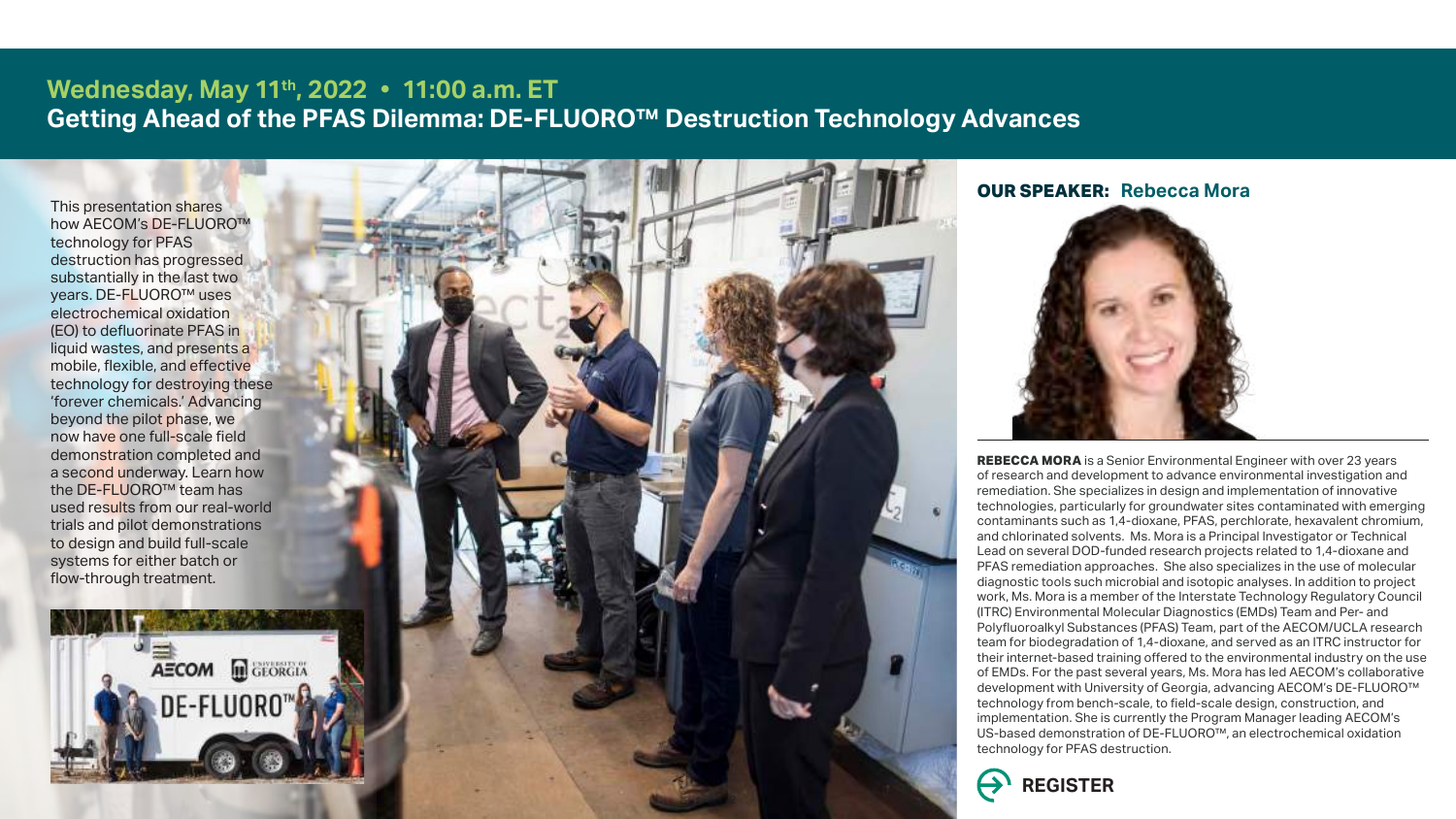## **Wednesday, May 11th, 2022 11:00 a.m. ET Getting Ahead of the PFAS Dilemma: DE-FLUORO™ Destruction Technology Advances**

**REBECCA MORA** is a Senior Environmental Engineer with over 23 years of research and development to advance environmental investigation and remediation. She specializes in design and implementation of innovative technologies, particularly for groundwater sites contaminated with emerging contaminants such as 1,4-dioxane, PFAS, perchlorate, hexavalent chromium, and chlorinated solvents. Ms. Mora is a Principal Investigator or Technical Lead on several DOD-funded research projects related to 1,4-dioxane and PFAS remediation approaches. She also specializes in the use of molecular diagnostic tools such microbial and isotopic analyses. In addition to project work, Ms. Mora is a member of the Interstate Technology Regulatory Council (ITRC) Environmental Molecular Diagnostics (EMDs) Team and Per- and Polyfluoroalkyl Substances (PFAS) Team, part of the AECOM/UCLA research team for biodegradation of 1,4-dioxane, and served as an ITRC instructor for their internet-based training offered to the environmental industry on the use of EMDs. For the past several years, Ms. Mora has led AECOM's collaborative development with University of Georgia, advancing AECOM's DE-FLUORO™ technology from bench-scale, to field-scale design, construction, and implementation. She is currently the Program Manager leading AECOM's US-based demonstration of DE-FLUORO™, an electrochemical oxidation technology for PFAS destruction.



**OUR SPEAKER: Rebecca Mora**



This presentation shares how AECOM's DE-FLUORO™ technology for PFAS destruction has progressed substantially in the last two years. DE-FLUORO™ uses electrochemical oxidation (EO) to defluorinate PFAS in liquid wastes, and presents a mobile, flexible, and effective technology for destroying these 'forever chemicals.' Advancing beyond the pilot phase, we now have one full-scale field demonstration completed and a second underway. Learn how the DE-FLUORO™ team has used results from our real-world trials and pilot demonstrations to design and build full-scale systems for either batch or flow-through treatment.



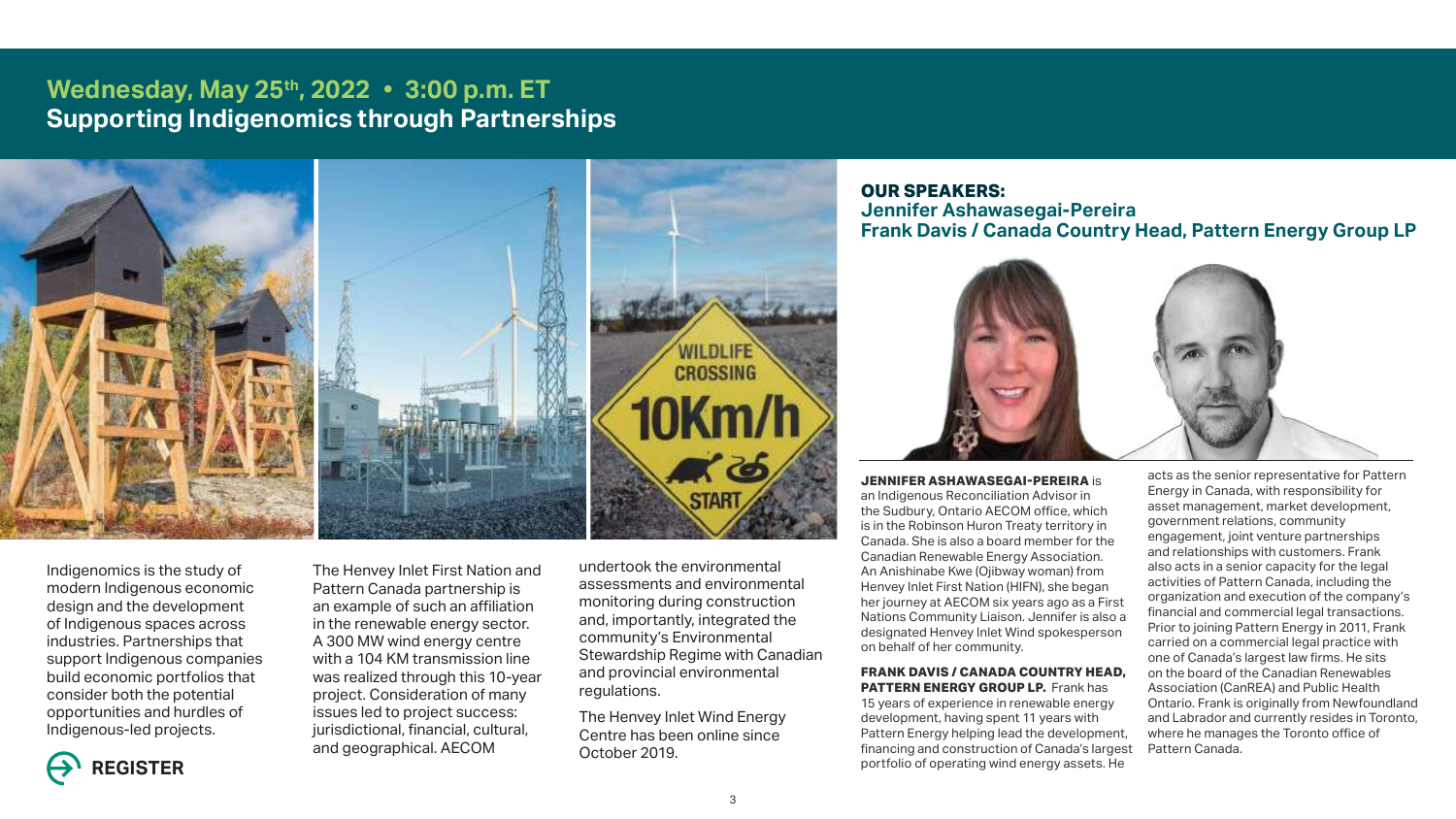# **Wednesday, May 25th, 2022 3:00 p.m. ET Supporting Indigenomics through Partnerships**



**JENNIFER ASHAWASEGAI-PEREIRA** is an Indigenous Reconciliation Advisor in the Sudbury, Ontario AECOM office, which is in the Robinson Huron Treaty territory in Canada. She is also a board member for the Canadian Renewable Energy Association. An Anishinabe Kwe (Ojibway woman) from Henvey Inlet First Nation (HIFN), she began her journey at AECOM six years ago as a First Nations Community Liaison. Jennifer is also a designated Henvey Inlet Wind spokesperson on behalf of her community. **FRANK DAVIS / CANADA COUNTRY HEAD, PATTERN ENERGY GROUP LP.** Frank has 15 years of experience in renewable energy development, having spent 11 years with Pattern Energy helping lead the development, financing and construction of Canada's largest portfolio of operating wind energy assets. He acts as the senior representative for Pattern Energy in Canada, with responsibility for asset management, market development, government relations, community engagement, joint venture partnerships and relationships with customers. Frank also acts in a senior capacity for the legal activities of Pattern Canada, including the organization and execution of the company's financial and commercial legal transactions. Prior to joining Pattern Energy in 2011, Frank carried on a commercial legal practice with one of Canada's largest law firms. He sits on the board of the Canadian Renewables Association (CanREA) and Public Health Ontario. Frank is originally from Newfoundland and Labrador and currently resides in Toronto, where he manages the Toronto office of Pattern Canada.



**OUR SPEAKERS: Jennifer Ashawasegai-Pereira**



## **Frank Davis / Canada Country Head, Pattern Energy Group LP**

Indigenomics is the study of modern Indigenous economic design and the development of Indigenous spaces across industries. Partnerships that support Indigenous companies build economic portfolios that consider both the potential opportunities and hurdles of Indigenous-led projects.

The Henvey Inlet First Nation and Pattern Canada partnership is an example of such an affiliation in the renewable energy sector. A 300 MW wind energy centre with a 104 KM transmission line was realized through this 10-year project. Consideration of many issues led to project success: jurisdictional, financial, cultural, and geographical. AECOM

undertook the environmental assessments and environmental monitoring during construction and, importantly, integrated the community's Environmental Stewardship Regime with Canadian and provincial environmental regulations.

The Henvey Inlet Wind Energy Centre has been online since October 2019.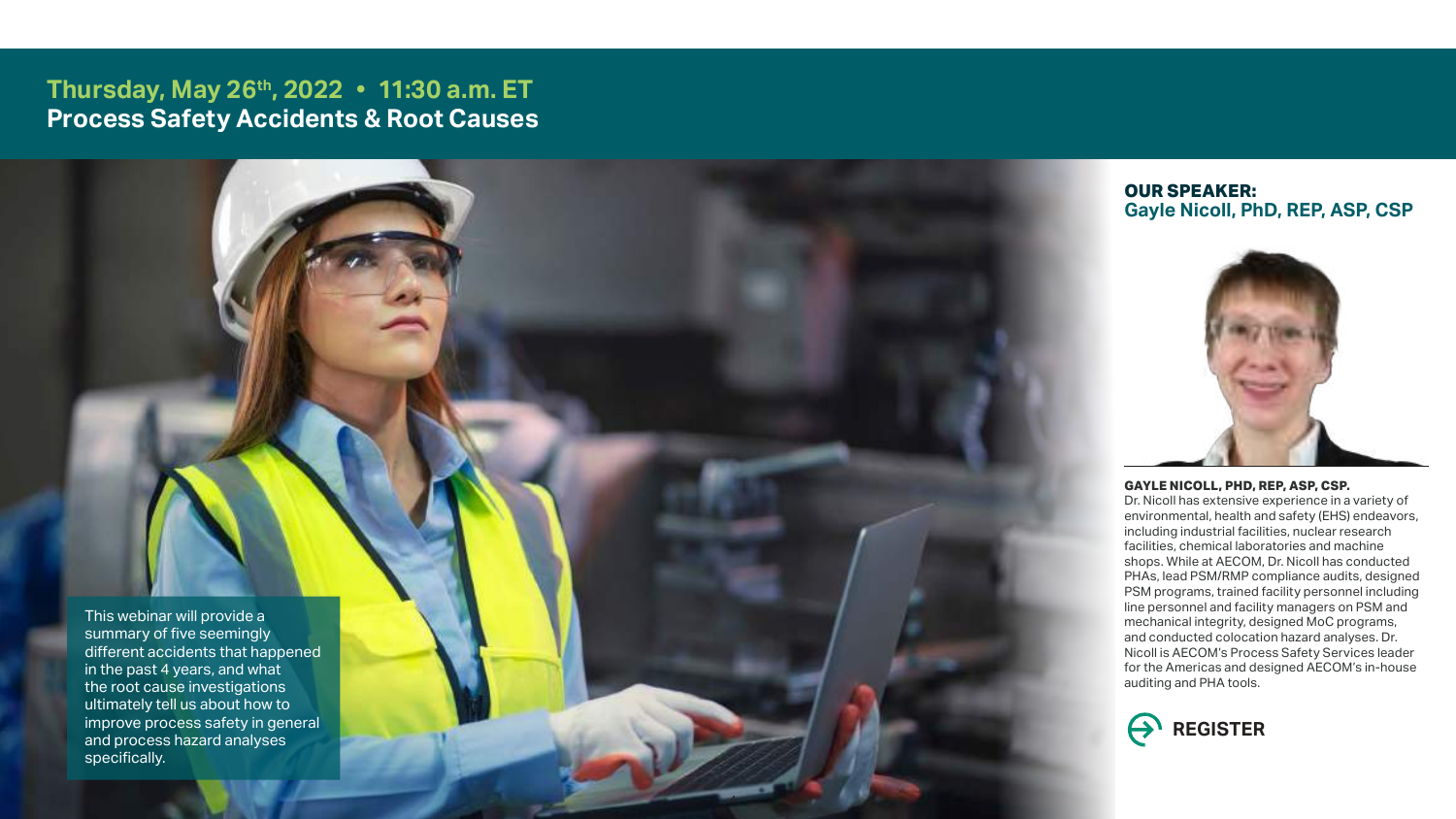# **Thursday, May 26th, 2022 11:30 a.m. ET Process Safety Accidents & Root Causes**

#### **GAYLE NICOLL, PHD, REP, ASP, CSP.**

Dr. Nicoll has extensive experience in a variety of environmental, health and safety (EHS) endeavors, including industrial facilities, nuclear research facilities, chemical laboratories and machine shops. While at AECOM, Dr. Nicoll has conducted PHAs, lead PSM/RMP compliance audits, designed PSM programs, trained facility personnel including line personnel and facility managers on PSM and mechanical integrity, designed MoC programs, and conducted colocation hazard analyses. Dr. Nicoll is AECOM's Process Safety Services leader for the Americas and designed AECOM's in-house auditing and PHA tools.



## **OUR SPEAKER: Gayle Nicoll, PhD, REP, ASP, CSP**



This webinar will provide a summary of five seemingly different accidents that happened in the past 4 years, and what the root cause investigations ultimately tell us about how to improve process safety in general and process hazard analyses specifically.

4